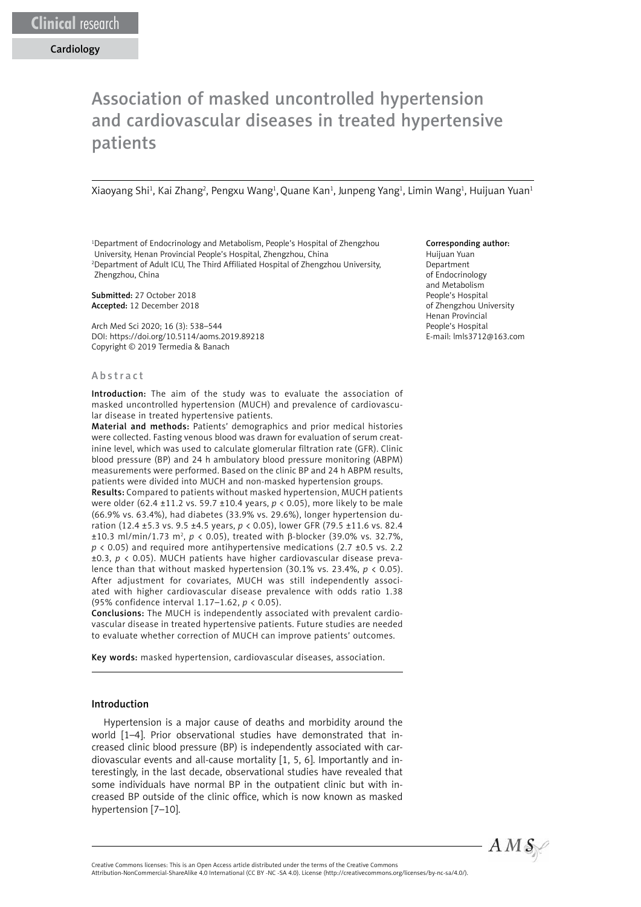# Association of masked uncontrolled hypertension and cardiovascular diseases in treated hypertensive patients

Xiaoyang Shi<sup>1</sup>, Kai Zhang<sup>2</sup>, Pengxu Wang<sup>1</sup>, Quane Kan<sup>1</sup>, Junpeng Yang<sup>1</sup>, Limin Wang<sup>1</sup>, Huijuan Yuan<sup>1</sup>

<sup>1</sup>Department of Endocrinology and Metabolism, People's Hospital of Zhengzhou University, Henan Provincial People's Hospital, Zhengzhou, China 2 Department of Adult ICU, The Third Affiliated Hospital of Zhengzhou University, Zhengzhou, China

Submitted: 27 October 2018 Accepted: 12 December 2018

Arch Med Sci 2020; 16 (3): 538–544 DOI: https://doi.org/10.5114/aoms.2019.89218 Copyright © 2019 Termedia & Banach

#### Abstract

Introduction: The aim of the study was to evaluate the association of masked uncontrolled hypertension (MUCH) and prevalence of cardiovascular disease in treated hypertensive patients.

Material and methods: Patients' demographics and prior medical histories were collected. Fasting venous blood was drawn for evaluation of serum creatinine level, which was used to calculate glomerular filtration rate (GFR). Clinic blood pressure (BP) and 24 h ambulatory blood pressure monitoring (ABPM) measurements were performed. Based on the clinic BP and 24 h ABPM results, patients were divided into MUCH and non-masked hypertension groups.

Results: Compared to patients without masked hypertension, MUCH patients were older (62.4 ±11.2 vs. 59.7 ±10.4 years, *p* < 0.05), more likely to be male (66.9% vs. 63.4%), had diabetes (33.9% vs. 29.6%), longer hypertension duration (12.4 ±5.3 vs. 9.5 ±4.5 years, *p* < 0.05), lower GFR (79.5 ±11.6 vs. 82.4 ±10.3 ml/min/1.73 m<sup>2</sup>,  $p$  < 0.05), treated with β-blocker (39.0% vs. 32.7%, *p* < 0.05) and required more antihypertensive medications (2.7 ±0.5 vs. 2.2 ±0.3, *p* < 0.05). MUCH patients have higher cardiovascular disease prevalence than that without masked hypertension (30.1% vs. 23.4%, *p* < 0.05). After adjustment for covariates, MUCH was still independently associated with higher cardiovascular disease prevalence with odds ratio 1.38 (95% confidence interval 1.17–1.62, *p* < 0.05).

Conclusions: The MUCH is independently associated with prevalent cardiovascular disease in treated hypertensive patients. Future studies are needed to evaluate whether correction of MUCH can improve patients' outcomes.

Key words: masked hypertension, cardiovascular diseases, association.

#### Introduction

Hypertension is a major cause of deaths and morbidity around the world [1–4]. Prior observational studies have demonstrated that increased clinic blood pressure (BP) is independently associated with cardiovascular events and all-cause mortality [1, 5, 6]. Importantly and interestingly, in the last decade, observational studies have revealed that some individuals have normal BP in the outpatient clinic but with increased BP outside of the clinic office, which is now known as masked hypertension [7–10].

#### Corresponding author:

Huijuan Yuan Department of Endocrinology and Metabolism People's Hospital of Zhengzhou University Henan Provincial People's Hospital E-mail: lmls3712@163.com



Attribution-NonCommercial-ShareAlike 4.0 International (CC BY -NC -SA 4.0). License (http://creativecommons.org/licenses/by-nc-sa/4.0/).

Creative Commons licenses: This is an Open Access article distributed under the terms of the Creative Commons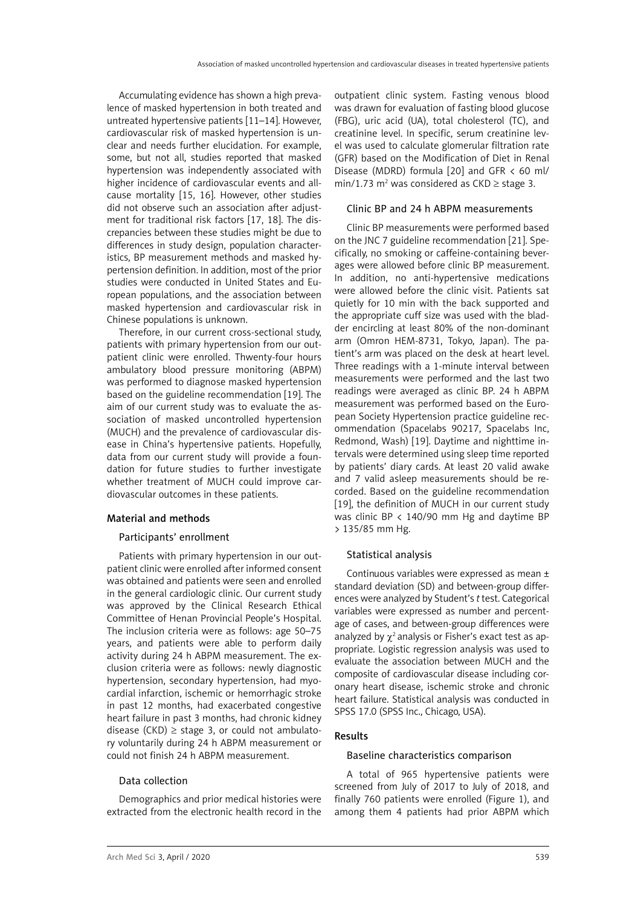Accumulating evidence has shown a high prevalence of masked hypertension in both treated and untreated hypertensive patients [11–14]. However, cardiovascular risk of masked hypertension is unclear and needs further elucidation. For example, some, but not all, studies reported that masked hypertension was independently associated with higher incidence of cardiovascular events and allcause mortality [15, 16]. However, other studies did not observe such an association after adjustment for traditional risk factors [17, 18]. The discrepancies between these studies might be due to differences in study design, population characteristics, BP measurement methods and masked hypertension definition. In addition, most of the prior studies were conducted in United States and European populations, and the association between masked hypertension and cardiovascular risk in Chinese populations is unknown.

Therefore, in our current cross-sectional study, patients with primary hypertension from our outpatient clinic were enrolled. Thwenty-four hours ambulatory blood pressure monitoring (ABPM) was performed to diagnose masked hypertension based on the guideline recommendation [19]. The aim of our current study was to evaluate the association of masked uncontrolled hypertension (MUCH) and the prevalence of cardiovascular disease in China's hypertensive patients. Hopefully, data from our current study will provide a foundation for future studies to further investigate whether treatment of MUCH could improve cardiovascular outcomes in these patients.

## Material and methods

## Participants' enrollment

Patients with primary hypertension in our outpatient clinic were enrolled after informed consent was obtained and patients were seen and enrolled in the general cardiologic clinic. Our current study was approved by the Clinical Research Ethical Committee of Henan Provincial People's Hospital. The inclusion criteria were as follows: age 50–75 years, and patients were able to perform daily activity during 24 h ABPM measurement. The exclusion criteria were as follows: newly diagnostic hypertension, secondary hypertension, had myocardial infarction, ischemic or hemorrhagic stroke in past 12 months, had exacerbated congestive heart failure in past 3 months, had chronic kidney disease (CKD)  $\geq$  stage 3, or could not ambulatory voluntarily during 24 h ABPM measurement or could not finish 24 h ABPM measurement.

## Data collection

Demographics and prior medical histories were extracted from the electronic health record in the outpatient clinic system. Fasting venous blood was drawn for evaluation of fasting blood glucose (FBG), uric acid (UA), total cholesterol (TC), and creatinine level. In specific, serum creatinine level was used to calculate glomerular filtration rate (GFR) based on the Modification of Diet in Renal Disease (MDRD) formula [20] and GFR < 60 ml/ min/1.73 m<sup>2</sup> was considered as  $CKD \geq$  stage 3.

## Clinic BP and 24 h ABPM measurements

Clinic BP measurements were performed based on the JNC 7 guideline recommendation [21]. Specifically, no smoking or caffeine-containing beverages were allowed before clinic BP measurement. In addition, no anti-hypertensive medications were allowed before the clinic visit. Patients sat quietly for 10 min with the back supported and the appropriate cuff size was used with the bladder encircling at least 80% of the non-dominant arm (Omron HEM-8731, Tokyo, Japan). The patient's arm was placed on the desk at heart level. Three readings with a 1-minute interval between measurements were performed and the last two readings were averaged as clinic BP. 24 h ABPM measurement was performed based on the European Society Hypertension practice guideline recommendation (Spacelabs 90217, Spacelabs Inc, Redmond, Wash) [19]. Daytime and nighttime intervals were determined using sleep time reported by patients' diary cards. At least 20 valid awake and 7 valid asleep measurements should be recorded. Based on the guideline recommendation [19], the definition of MUCH in our current study was clinic BP < 140/90 mm Hg and daytime BP > 135/85 mm Hg.

## Statistical analysis

Continuous variables were expressed as mean ± standard deviation (SD) and between-group differences were analyzed by Student's *t* test. Categorical variables were expressed as number and percentage of cases, and between-group differences were analyzed by  $\chi^2$  analysis or Fisher's exact test as appropriate. Logistic regression analysis was used to evaluate the association between MUCH and the composite of cardiovascular disease including coronary heart disease, ischemic stroke and chronic heart failure. Statistical analysis was conducted in SPSS 17.0 (SPSS Inc., Chicago, USA).

# Results

#### Baseline characteristics comparison

A total of 965 hypertensive patients were screened from July of 2017 to July of 2018, and finally 760 patients were enrolled (Figure 1), and among them 4 patients had prior ABPM which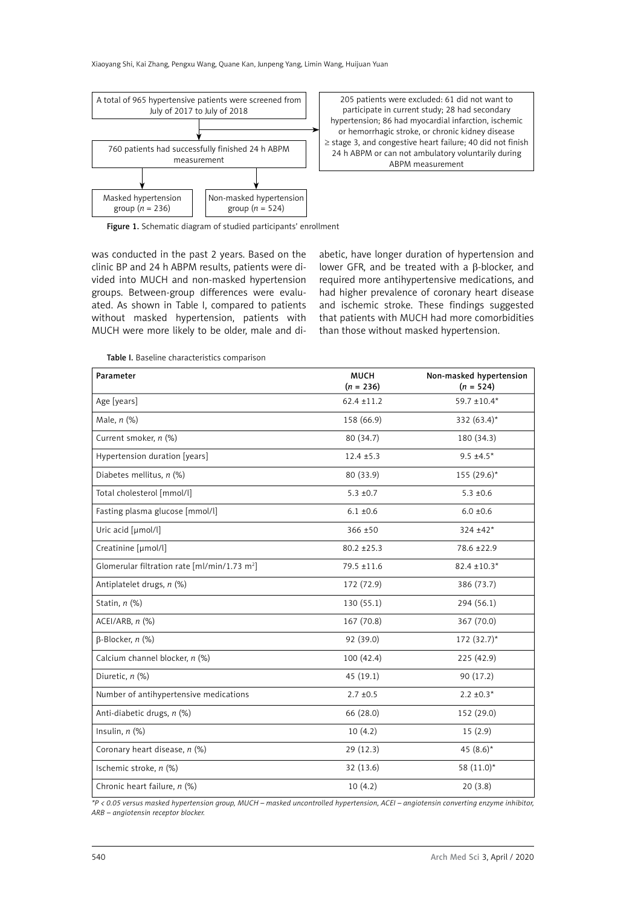

Figure 1. Schematic diagram of studied participants' enrollment

was conducted in the past 2 years. Based on the clinic BP and 24 h ABPM results, patients were divided into MUCH and non-masked hypertension groups. Between-group differences were evaluated. As shown in Table I, compared to patients without masked hypertension, patients with MUCH were more likely to be older, male and diabetic, have longer duration of hypertension and lower GFR, and be treated with a  $\beta$ -blocker, and required more antihypertensive medications, and had higher prevalence of coronary heart disease and ischemic stroke. These findings suggested that patients with MUCH had more comorbidities than those without masked hypertension.

Table I. Baseline characteristics comparison

| Parameter                                                | <b>MUCH</b><br>$(n = 236)$ | Non-masked hypertension<br>$(n = 524)$ |  |
|----------------------------------------------------------|----------------------------|----------------------------------------|--|
| Age [years]                                              | $62.4 \pm 11.2$            | 59.7 ±10.4*                            |  |
| Male, $n$ $%$                                            | 158 (66.9)                 | 332 (63.4)*                            |  |
| Current smoker, n (%)                                    | 80 (34.7)                  | 180 (34.3)                             |  |
| Hypertension duration [years]                            | $12.4 \pm 5.3$             | $9.5 \pm 4.5^*$                        |  |
| Diabetes mellitus, $n$ (%)                               | 80 (33.9)                  | $155(29.6)^*$                          |  |
| Total cholesterol [mmol/l]                               | $5.3 \pm 0.7$              | $5.3 \pm 0.6$                          |  |
| Fasting plasma glucose [mmol/l]                          | $6.1 \pm 0.6$              | $6.0 \pm 0.6$                          |  |
| Uric acid [µmol/l]                                       | 366 ±50                    | 324 ±42*                               |  |
| Creatinine [µmol/l]                                      | $80.2 \pm 25.3$            | 78.6 ±22.9                             |  |
| Glomerular filtration rate $[m]/min/1.73$ m <sup>2</sup> | 79.5 ±11.6                 | 82.4 ±10.3*                            |  |
| Antiplatelet drugs, n (%)                                | 172 (72.9)                 | 386 (73.7)                             |  |
| Statin, $n$ $%$                                          | 130 (55.1)                 | 294 (56.1)                             |  |
| ACEI/ARB, $n$ $%$                                        | 167 (70.8)                 | 367 (70.0)                             |  |
| $\beta$ -Blocker, n (%)                                  | 92 (39.0)                  | $172(32.7)^*$                          |  |
| Calcium channel blocker, n (%)                           | 100 (42.4)                 | 225 (42.9)                             |  |
| Diuretic, $n$ $%$                                        | 45(19.1)                   | 90 (17.2)                              |  |
| Number of antihypertensive medications                   | $2.7 \pm 0.5$              | $2.2 \pm 0.3*$                         |  |
| Anti-diabetic drugs, n (%)                               | 66 (28.0)                  | 152 (29.0)                             |  |
| Insulin, $n$ $(\%)$                                      | 10(4.2)                    | 15(2.9)                                |  |
| Coronary heart disease, n (%)                            | 29(12.3)                   | 45 $(8.6)^*$                           |  |
| Ischemic stroke, n (%)                                   | 32(13.6)                   | 58 $(11.0)^*$                          |  |
| Chronic heart failure, n (%)                             | 10(4.2)                    | 20(3.8)                                |  |

*\*P < 0.05 versus masked hypertension group, MUCH – masked uncontrolled hypertension, ACEI – angiotensin converting enzyme inhibitor, ARB – angiotensin receptor blocker.*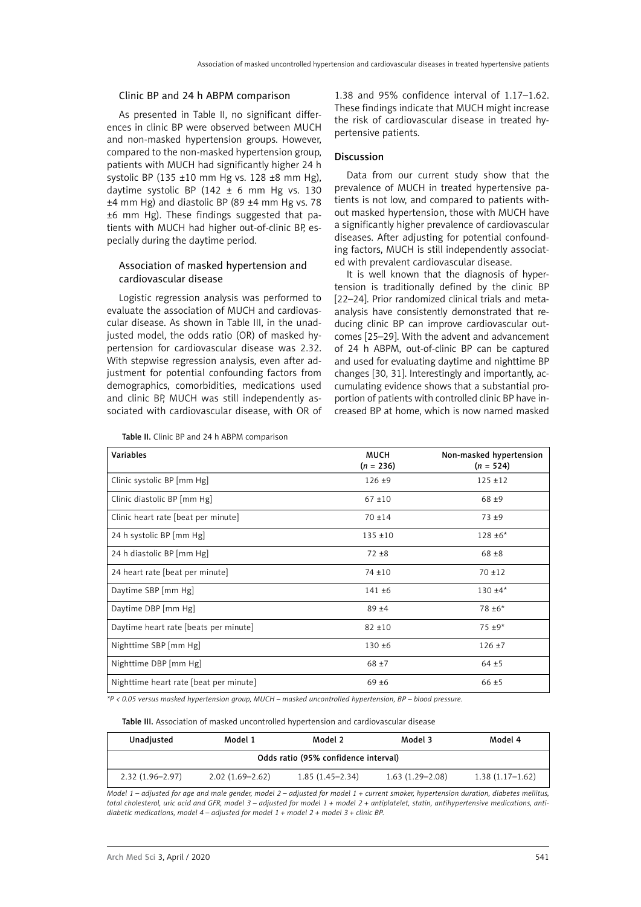#### Clinic BP and 24 h ABPM comparison

As presented in Table II, no significant differences in clinic BP were observed between MUCH and non-masked hypertension groups. However, compared to the non-masked hypertension group, patients with MUCH had significantly higher 24 h systolic BP (135 ±10 mm Hg vs. 128 ±8 mm Hg), daytime systolic BP (142  $\pm$  6 mm Hg vs. 130 ±4 mm Hg) and diastolic BP (89 ±4 mm Hg vs. 78 ±6 mm Hg). These findings suggested that patients with MUCH had higher out-of-clinic BP, especially during the daytime period.

#### Association of masked hypertension and cardiovascular disease

Logistic regression analysis was performed to evaluate the association of MUCH and cardiovascular disease. As shown in Table III, in the unadjusted model, the odds ratio (OR) of masked hypertension for cardiovascular disease was 2.32. With stepwise regression analysis, even after adjustment for potential confounding factors from demographics, comorbidities, medications used and clinic BP, MUCH was still independently associated with cardiovascular disease, with OR of

1.38 and 95% confidence interval of 1.17–1.62. These findings indicate that MUCH might increase the risk of cardiovascular disease in treated hypertensive patients.

#### Discussion

Data from our current study show that the prevalence of MUCH in treated hypertensive patients is not low, and compared to patients without masked hypertension, those with MUCH have a significantly higher prevalence of cardiovascular diseases. After adjusting for potential confounding factors, MUCH is still independently associated with prevalent cardiovascular disease.

It is well known that the diagnosis of hypertension is traditionally defined by the clinic BP [22–24]. Prior randomized clinical trials and metaanalysis have consistently demonstrated that reducing clinic BP can improve cardiovascular outcomes [25–29]. With the advent and advancement of 24 h ABPM, out-of-clinic BP can be captured and used for evaluating daytime and nighttime BP changes [30, 31]. Interestingly and importantly, accumulating evidence shows that a substantial proportion of patients with controlled clinic BP have increased BP at home, which is now named masked

| <b>Variables</b>                       | <b>MUCH</b><br>$(n = 236)$ | Non-masked hypertension<br>$(n = 524)$ |  |
|----------------------------------------|----------------------------|----------------------------------------|--|
| Clinic systolic BP [mm Hg]             | $126 + 9$                  | $125 + 12$                             |  |
| Clinic diastolic BP [mm Hg]            | $67 + 10$                  | $68 + 9$                               |  |
| Clinic heart rate [beat per minute]    | $70 + 14$                  | $73 + 9$                               |  |
| 24 h systolic BP [mm Hg]               | $135 + 10$                 | $128 \pm 6^*$                          |  |
| 24 h diastolic BP [mm Hg]              | $72 + 8$                   | $68 + 8$                               |  |
| 24 heart rate [beat per minute]        | $74 + 10$                  | $70 + 12$                              |  |
| Daytime SBP [mm Hg]                    | $141 + 6$                  | $130 + 4*$                             |  |
| Daytime DBP [mm Hg]                    | $89 + 4$                   | $78 + 6*$                              |  |
| Daytime heart rate [beats per minute]  | $82 + 10$                  | $75 + 9*$                              |  |
| Nighttime SBP [mm Hg]                  | $130 + 6$                  | $126 + 7$                              |  |
| Nighttime DBP [mm Hg]                  | $68 + 7$                   | $64 + 5$                               |  |
| Nighttime heart rate [beat per minute] | $69 + 6$                   | $66 + 5$                               |  |

Table II. Clinic BP and 24 h ABPM comparison

Table III. Association of masked uncontrolled hypertension and cardiovascular disease

*\*P < 0.05 versus masked hypertension group, MUCH – masked uncontrolled hypertension, BP – blood pressure.*

| Unadjusted                           | Model 1           | Model 2           | Model 3           | Model 4           |  |  |
|--------------------------------------|-------------------|-------------------|-------------------|-------------------|--|--|
| Odds ratio (95% confidence interval) |                   |                   |                   |                   |  |  |
| $2.32(1.96-2.97)$                    | $2.02(1.69-2.62)$ | $1.85(1.45-2.34)$ | $1.63(1.29-2.08)$ | $1.38(1.17-1.62)$ |  |  |

*Model 1 – adjusted for age and male gender, model 2 – adjusted for model 1 + current smoker, hypertension duration, diabetes mellitus, total cholesterol, uric acid and GFR, model 3 – adjusted for model 1 + model 2 + antiplatelet, statin, antihypertensive medications, antidiabetic medications, model 4 – adjusted for model 1 + model 2 + model 3 + clinic BP.*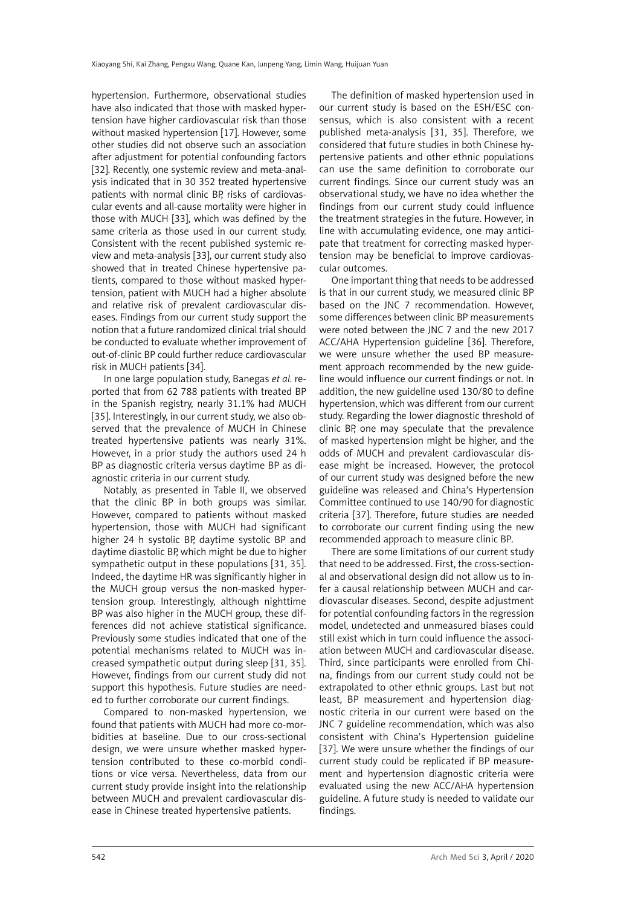hypertension. Furthermore, observational studies have also indicated that those with masked hypertension have higher cardiovascular risk than those without masked hypertension [17]. However, some other studies did not observe such an association after adjustment for potential confounding factors [32]. Recently, one systemic review and meta-analysis indicated that in 30 352 treated hypertensive patients with normal clinic BP, risks of cardiovascular events and all-cause mortality were higher in those with MUCH [33], which was defined by the same criteria as those used in our current study. Consistent with the recent published systemic review and meta-analysis [33], our current study also showed that in treated Chinese hypertensive patients, compared to those without masked hypertension, patient with MUCH had a higher absolute and relative risk of prevalent cardiovascular diseases. Findings from our current study support the notion that a future randomized clinical trial should be conducted to evaluate whether improvement of out-of-clinic BP could further reduce cardiovascular risk in MUCH patients [34].

In one large population study, Banegas *et al.* reported that from 62 788 patients with treated BP in the Spanish registry, nearly 31.1% had MUCH [35]. Interestingly, in our current study, we also observed that the prevalence of MUCH in Chinese treated hypertensive patients was nearly 31%. However, in a prior study the authors used 24 h BP as diagnostic criteria versus daytime BP as diagnostic criteria in our current study.

Notably, as presented in Table II, we observed that the clinic BP in both groups was similar. However, compared to patients without masked hypertension, those with MUCH had significant higher 24 h systolic BP, daytime systolic BP and daytime diastolic BP, which might be due to higher sympathetic output in these populations [31, 35]. Indeed, the daytime HR was significantly higher in the MUCH group versus the non-masked hypertension group. Interestingly, although nighttime BP was also higher in the MUCH group, these differences did not achieve statistical significance. Previously some studies indicated that one of the potential mechanisms related to MUCH was increased sympathetic output during sleep [31, 35]. However, findings from our current study did not support this hypothesis. Future studies are needed to further corroborate our current findings.

Compared to non-masked hypertension, we found that patients with MUCH had more co-morbidities at baseline. Due to our cross-sectional design, we were unsure whether masked hypertension contributed to these co-morbid conditions or vice versa. Nevertheless, data from our current study provide insight into the relationship between MUCH and prevalent cardiovascular disease in Chinese treated hypertensive patients.

The definition of masked hypertension used in our current study is based on the ESH/ESC consensus, which is also consistent with a recent published meta-analysis [31, 35]. Therefore, we considered that future studies in both Chinese hypertensive patients and other ethnic populations can use the same definition to corroborate our current findings. Since our current study was an observational study, we have no idea whether the findings from our current study could influence the treatment strategies in the future. However, in line with accumulating evidence, one may anticipate that treatment for correcting masked hypertension may be beneficial to improve cardiovascular outcomes.

One important thing that needs to be addressed is that in our current study, we measured clinic BP based on the JNC 7 recommendation. However, some differences between clinic BP measurements were noted between the JNC 7 and the new 2017 ACC/AHA Hypertension guideline [36]. Therefore, we were unsure whether the used BP measurement approach recommended by the new guideline would influence our current findings or not. In addition, the new guideline used 130/80 to define hypertension, which was different from our current study. Regarding the lower diagnostic threshold of clinic BP, one may speculate that the prevalence of masked hypertension might be higher, and the odds of MUCH and prevalent cardiovascular disease might be increased. However, the protocol of our current study was designed before the new guideline was released and China's Hypertension Committee continued to use 140/90 for diagnostic criteria [37]. Therefore, future studies are needed to corroborate our current finding using the new recommended approach to measure clinic BP.

There are some limitations of our current study that need to be addressed. First, the cross-sectional and observational design did not allow us to infer a causal relationship between MUCH and cardiovascular diseases. Second, despite adjustment for potential confounding factors in the regression model, undetected and unmeasured biases could still exist which in turn could influence the association between MUCH and cardiovascular disease. Third, since participants were enrolled from China, findings from our current study could not be extrapolated to other ethnic groups. Last but not least, BP measurement and hypertension diagnostic criteria in our current were based on the JNC 7 guideline recommendation, which was also consistent with China's Hypertension guideline [37]. We were unsure whether the findings of our current study could be replicated if BP measurement and hypertension diagnostic criteria were evaluated using the new ACC/AHA hypertension guideline. A future study is needed to validate our findings.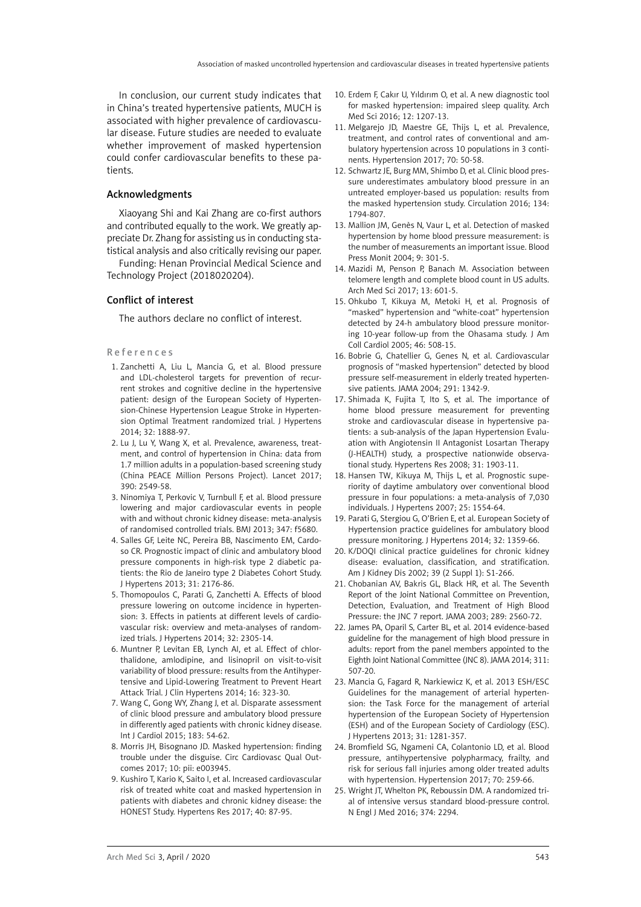In conclusion, our current study indicates that in China's treated hypertensive patients, MUCH is associated with higher prevalence of cardiovascular disease. Future studies are needed to evaluate whether improvement of masked hypertension could confer cardiovascular benefits to these patients.

#### Acknowledgments

Xiaoyang Shi and Kai Zhang are co-first authors and contributed equally to the work. We greatly appreciate Dr. Zhang for assisting us in conducting statistical analysis and also critically revising our paper.

Funding: Henan Provincial Medical Science and Technology Project (2018020204).

# Conflict of interest

The authors declare no conflict of interest.

#### References

- 1. Zanchetti A, Liu L, Mancia G, et al. Blood pressure and LDL-cholesterol targets for prevention of recurrent strokes and cognitive decline in the hypertensive patient: design of the European Society of Hypertension-Chinese Hypertension League Stroke in Hypertension Optimal Treatment randomized trial. J Hypertens 2014; 32: 1888-97.
- 2. Lu J, Lu Y, Wang X, et al. Prevalence, awareness, treatment, and control of hypertension in China: data from 1.7 million adults in a population-based screening study (China PEACE Million Persons Project). Lancet 2017; 390: 2549-58.
- 3. Ninomiya T, Perkovic V, Turnbull F, et al. Blood pressure lowering and major cardiovascular events in people with and without chronic kidney disease: meta-analysis of randomised controlled trials. BMJ 2013; 347: f5680.
- 4. Salles GF, Leite NC, Pereira BB, Nascimento EM, Cardoso CR. Prognostic impact of clinic and ambulatory blood pressure components in high-risk type 2 diabetic patients: the Rio de Janeiro type 2 Diabetes Cohort Study. J Hypertens 2013; 31: 2176-86.
- 5. Thomopoulos C, Parati G, Zanchetti A. Effects of blood pressure lowering on outcome incidence in hypertension: 3. Effects in patients at different levels of cardiovascular risk: overview and meta-analyses of randomized trials. J Hypertens 2014; 32: 2305-14.
- 6. Muntner P, Levitan EB, Lynch AI, et al. Effect of chlorthalidone, amlodipine, and lisinopril on visit-to-visit variability of blood pressure: results from the Antihypertensive and Lipid-Lowering Treatment to Prevent Heart Attack Trial. J Clin Hypertens 2014; 16: 323-30.
- 7. Wang C, Gong WY, Zhang J, et al. Disparate assessment of clinic blood pressure and ambulatory blood pressure in differently aged patients with chronic kidney disease. Int J Cardiol 2015; 183: 54-62.
- 8. Morris JH, Bisognano JD. Masked hypertension: finding trouble under the disguise. Circ Cardiovasc Qual Outcomes 2017; 10: pii: e003945.
- 9. Kushiro T, Kario K, Saito I, et al. Increased cardiovascular risk of treated white coat and masked hypertension in patients with diabetes and chronic kidney disease: the HONEST Study. Hypertens Res 2017; 40: 87-95.
- 10. Erdem F, Cakır U, Yıldırım O, et al. A new diagnostic tool for masked hypertension: impaired sleep quality. Arch Med Sci 2016; 12: 1207-13.
- 11. Melgarejo JD, Maestre GE, Thijs L, et al. Prevalence, treatment, and control rates of conventional and ambulatory hypertension across 10 populations in 3 continents. Hypertension 2017; 70: 50-58.
- 12. Schwartz JE, Burg MM, Shimbo D, et al. Clinic blood pressure underestimates ambulatory blood pressure in an untreated employer-based us population: results from the masked hypertension study. Circulation 2016; 134: 1794-807.
- 13. Mallion JM, Genès N, Vaur L, et al. Detection of masked hypertension by home blood pressure measurement: is the number of measurements an important issue. Blood Press Monit 2004; 9: 301-5.
- 14. Mazidi M, Penson P, Banach M. Association between telomere length and complete blood count in US adults. Arch Med Sci 2017; 13: 601-5.
- 15. Ohkubo T, Kikuya M, Metoki H, et al. Prognosis of "masked" hypertension and "white-coat" hypertension detected by 24-h ambulatory blood pressure monitoring 10-year follow-up from the Ohasama study. J Am Coll Cardiol 2005; 46: 508-15.
- 16. Bobrie G, Chatellier G, Genes N, et al. Cardiovascular prognosis of "masked hypertension" detected by blood pressure self-measurement in elderly treated hypertensive patients. JAMA 2004; 291: 1342-9.
- 17. Shimada K, Fujita T, Ito S, et al. The importance of home blood pressure measurement for preventing stroke and cardiovascular disease in hypertensive patients: a sub-analysis of the Japan Hypertension Evaluation with Angiotensin II Antagonist Losartan Therapy (J-HEALTH) study, a prospective nationwide observational study. Hypertens Res 2008; 31: 1903-11.
- 18. Hansen TW, Kikuya M, Thijs L, et al. Prognostic superiority of daytime ambulatory over conventional blood pressure in four populations: a meta-analysis of 7,030 individuals. J Hypertens 2007; 25: 1554-64.
- 19. Parati G, Stergiou G, O'Brien E, et al. European Society of Hypertension practice guidelines for ambulatory blood pressure monitoring. J Hypertens 2014; 32: 1359-66.
- 20. K/DOQI clinical practice guidelines for chronic kidney disease: evaluation, classification, and stratification. Am J Kidney Dis 2002; 39 (2 Suppl 1): S1-266.
- 21. Chobanian AV, Bakris GL, Black HR, et al. The Seventh Report of the Joint National Committee on Prevention, Detection, Evaluation, and Treatment of High Blood Pressure: the JNC 7 report. JAMA 2003; 289: 2560-72.
- 22. James PA, Oparil S, Carter BL, et al. 2014 evidence-based guideline for the management of high blood pressure in adults: report from the panel members appointed to the Eighth Joint National Committee (JNC 8). JAMA 2014; 311: 507-20.
- 23. Mancia G, Fagard R, Narkiewicz K, et al. 2013 ESH/ESC Guidelines for the management of arterial hypertension: the Task Force for the management of arterial hypertension of the European Society of Hypertension (ESH) and of the European Society of Cardiology (ESC). J Hypertens 2013; 31: 1281-357.
- 24. Bromfield SG, Ngameni CA, Colantonio LD, et al. Blood pressure, antihypertensive polypharmacy, frailty, and risk for serious fall injuries among older treated adults with hypertension. Hypertension 2017; 70: 259-66.
- 25. Wright JT, Whelton PK, Reboussin DM. A randomized trial of intensive versus standard blood-pressure control. N Engl J Med 2016; 374: 2294.